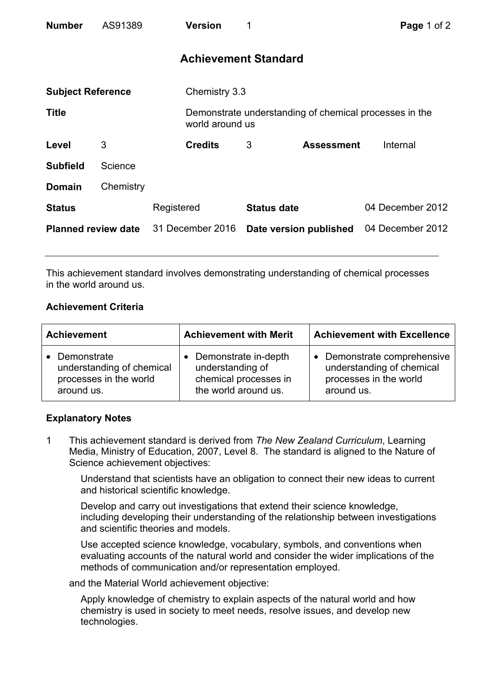| <b>Number</b>              | AS91389   |                  | <b>Version</b>  | 1                           |                   | Page 1 of 2                                            |
|----------------------------|-----------|------------------|-----------------|-----------------------------|-------------------|--------------------------------------------------------|
|                            |           |                  |                 | <b>Achievement Standard</b> |                   |                                                        |
| <b>Subject Reference</b>   |           |                  | Chemistry 3.3   |                             |                   |                                                        |
| <b>Title</b>               |           |                  | world around us |                             |                   | Demonstrate understanding of chemical processes in the |
| Level                      | 3         |                  | <b>Credits</b>  | 3                           | <b>Assessment</b> | Internal                                               |
| <b>Subfield</b>            | Science   |                  |                 |                             |                   |                                                        |
| <b>Domain</b>              | Chemistry |                  |                 |                             |                   |                                                        |
| <b>Status</b>              |           | Registered       |                 | <b>Status date</b>          |                   | 04 December 2012                                       |
| <b>Planned review date</b> |           | 31 December 2016 |                 | Date version published      |                   | 04 December 2012                                       |

This achievement standard involves demonstrating understanding of chemical processes in the world around us.

## **Achievement Criteria**

| <b>Achievement</b>                                                                 | <b>Achievement with Merit</b>                                                               | <b>Achievement with Excellence</b>                                                                          |  |
|------------------------------------------------------------------------------------|---------------------------------------------------------------------------------------------|-------------------------------------------------------------------------------------------------------------|--|
| • Demonstrate<br>understanding of chemical<br>processes in the world<br>around us. | • Demonstrate in-depth<br>understanding of<br>chemical processes in<br>the world around us. | Demonstrate comprehensive<br>$\bullet$<br>understanding of chemical<br>processes in the world<br>around us. |  |

## **Explanatory Notes**

1 This achievement standard is derived from *The New Zealand Curriculum*, Learning Media, Ministry of Education, 2007, Level 8. The standard is aligned to the Nature of Science achievement objectives:

Understand that scientists have an obligation to connect their new ideas to current and historical scientific knowledge.

Develop and carry out investigations that extend their science knowledge, including developing their understanding of the relationship between investigations and scientific theories and models.

Use accepted science knowledge, vocabulary, symbols, and conventions when evaluating accounts of the natural world and consider the wider implications of the methods of communication and/or representation employed.

and the Material World achievement objective:

Apply knowledge of chemistry to explain aspects of the natural world and how chemistry is used in society to meet needs, resolve issues, and develop new technologies.